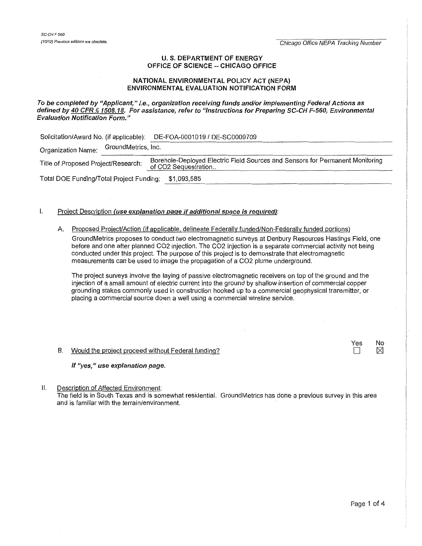SC-CH<sub>F 550</sub>

(10/12) Previous editions are obsolete. The second energy of the second of the control of the Chicago Office NEPA Tracking Number

### U.S. DEPARTMENT OF ENERGY OFFICE OF SCIENCE -- CHICAGO OFFICE

### NATIONAL ENVIRONMENTAL POLICY ACT (NEPA) ENVIRONMENTAL EVALUATION NOTIFICATION FORM

To be completed by "Applicant," i.e., organization receiving funds and/or implementing Federal Actions as defined by 40 CFR § 1508.18. For assistance, refer to "Instructions for Preparing SC-CH F-560, Environmental Evaluation Notification Form."

Solicitation/Award No. (if applicable): DE-FOA-0001019 / DE-SC0009709<br>Organization Name: GroundMetrics, Inc.

Title of Proposed Project/Research: Borehole-Deployed Electric Field Sources and Sensors for Permanent Monitoring of CO2 Sequestration...

Total DOE Funding/Total Project Funding: \$1,093,585 -~~----------------------------------------------

# $I.$  Project Description *(use explanation page if additional space is required)*:

## A. Proposed Project/Action (if applicable. delineate Federally funded/Non-Federally funded portions)

Ground Metrics proposes to conduct two electromagnetic surveys at Den bury Resources Hastings Field, one before and one after planned C02 injection. The C02 injection is a separate commercial activity not being conducted under this project. The purpose of this project is to demonstrate that electromagnetic measurements can be used to image the propagation of a C02 plume underground.

The project surveys involve the laying of passive electromagnetic receivers on top of the ground and the injection of a small amount of electric current into the ground by shallow insertion of commercial copper grounding stakes commonly used in construction hooked up to a commercial geophysical transmitter, or placing a commercial source down a well using a commercial wireline service.

# B. Would the project proceed without Federal funding?

## If "yes," use explanation page.

II. Description of Affected Environment:

The field is in South Texas and is somewhat residential. GroundMetrics has done a previous survey in this area and is familiar with the terrain/environment.

Yes

No  $\boxtimes$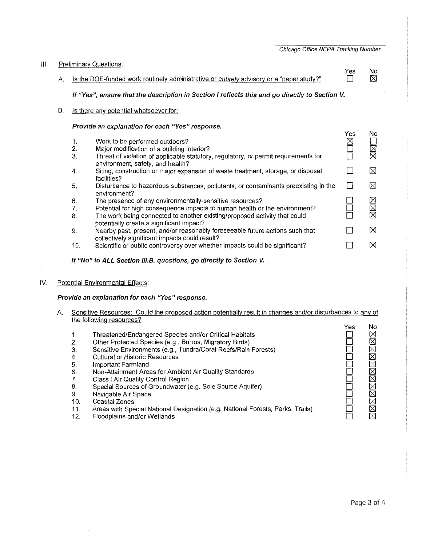Chicago Office NEPA Tracking Number

No  $\boxtimes$ 

#### Ill. Preliminary Questions:

Yes<br>门 A. Is the DOE-funded work routinely administrative or entirely advisory or a "paper study?"

If "Yes", ensure that the description in Section I reflects this and go directly to Section V.

B. Is there any potential whatsoever for:

## Provide an explanation for each "Yes" response.

|     |                                                                                                                                | Yes | Nο                   |
|-----|--------------------------------------------------------------------------------------------------------------------------------|-----|----------------------|
| 1.  | Work to be performed outdoors?                                                                                                 | 7X) | <b>N<br/>N<br/>N</b> |
| 2.  | Major modification of a building interior?                                                                                     |     |                      |
| 3.  | Threat of violation of applicable statutory, regulatory, or permit requirements for<br>environment, safety, and health?        |     |                      |
| 4.  | Siting, construction or major expansion of waste treatment, storage, or disposal                                               |     | ⊠                    |
|     | facilities?                                                                                                                    |     |                      |
| 5.  | Disturbance to hazardous substances, pollutants, or contaminants preexisting in the<br>environment?                            |     | ⊠                    |
| 6.  | The presence of any environmentally-sensitive resources?                                                                       |     |                      |
| 7.  | Potential for high consequence impacts to human health or the environment?                                                     |     | MMM                  |
| 8.  | The work being connected to another existing/proposed activity that could                                                      |     |                      |
|     | potentially create a significant impact?                                                                                       |     |                      |
| 9.  | Nearby past, present, and/or reasonably foreseeable future actions such that<br>collectively significant impacts could result? |     | ⊠                    |
| 10. | Scientific or public controversy over whether impacts could be significant?                                                    |     | ⊠                    |
|     |                                                                                                                                |     |                      |

If "No" to ALL Section III.B. questions, go directly to Section V.

### IV. Potential Environmental Effects:

### Provide an explanation for each "Yes" response.

A. Sensitive Resources: Could the proposed action potentially result in changes and/or disturbances to any of the following resources?  $\overline{V}$  $\mathbf{H}$ 

|     |                                                                                | Y es | <b>NO</b>   |
|-----|--------------------------------------------------------------------------------|------|-------------|
| 1.  | Threatened/Endangered Species and/or Critical Habitats                         |      | $\boxtimes$ |
| 2.  | Other Protected Species (e.g., Burros, Migratory Birds)                        |      | $\boxtimes$ |
| 3.  | Sensitive Environments (e.g., Tundra/Coral Reefs/Rain Forests)                 |      | $\boxtimes$ |
| 4.  | <b>Cultural or Historic Resources</b>                                          |      | $\boxtimes$ |
| 5.  | Important Farmland                                                             |      | $\boxtimes$ |
| 6.  | Non-Attainment Areas for Ambient Air Quality Standards                         |      | ⊠           |
|     | Class   Air Quality Control Region                                             |      | ⊠           |
| 8.  | Special Sources of Groundwater (e.g. Sole Source Aquifer)                      |      | ⊠           |
| 9.  | Navigable Air Space                                                            |      | $\boxtimes$ |
| 10. | Coastal Zones                                                                  |      | $\boxtimes$ |
| 11. | Areas with Special National Designation (e.g. National Forests, Parks, Trails) |      | $\boxtimes$ |
|     |                                                                                |      |             |

12. Floodplains and/or Wetlands ⊠

D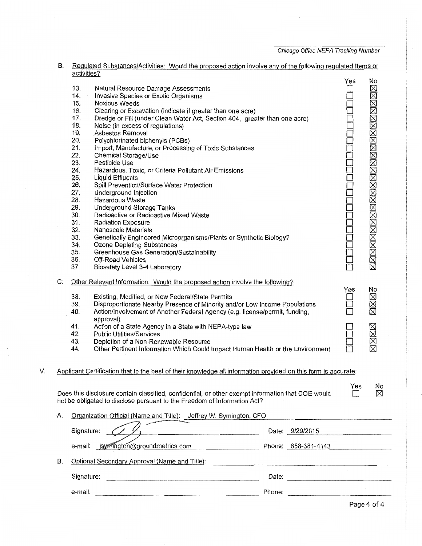Chicago Office NEPA Tracking Number

|    | В. |             | <u>Regulated Substances/Activities: Would the proposed action involve any of the following regulated Items or</u> |                                                                                                               |     |                             |
|----|----|-------------|-------------------------------------------------------------------------------------------------------------------|---------------------------------------------------------------------------------------------------------------|-----|-----------------------------|
|    |    | activities? |                                                                                                                   |                                                                                                               | Yes | No                          |
|    |    | 13.         | Natural Resource Damage Assessments                                                                               |                                                                                                               |     |                             |
|    |    | 14.         | Invasive Species or Exotic Organisms                                                                              |                                                                                                               |     |                             |
|    |    | 15.         | <b>Noxious Weeds</b>                                                                                              |                                                                                                               |     |                             |
|    |    | 16.         | Clearing or Excavation (indicate if greater than one acre)                                                        |                                                                                                               |     |                             |
|    |    | 17.         | Dredge or Fill (under Clean Water Act, Section 404, greater than one acre)                                        |                                                                                                               |     |                             |
|    |    | 18.         | Noise (in excess of regulations)                                                                                  |                                                                                                               |     |                             |
|    |    | 19.         | Asbestos Removal                                                                                                  |                                                                                                               |     |                             |
|    |    | 20.         | Polychlorinated biphenyls (PCBs)                                                                                  |                                                                                                               |     |                             |
|    |    | 21.         | Import, Manufacture, or Processing of Toxic Substances                                                            |                                                                                                               |     |                             |
|    |    | 22.         | Chemical Storage/Use                                                                                              |                                                                                                               |     |                             |
|    |    | 23.         | Pesticide Use                                                                                                     |                                                                                                               |     |                             |
|    |    | 24.         | Hazardous, Toxic, or Criteria Pollutant Air Emissions                                                             |                                                                                                               |     |                             |
|    |    | 25.         | <b>Liquid Effluents</b>                                                                                           |                                                                                                               |     |                             |
|    |    | 26.         | Spill Prevention/Surface Water Protection                                                                         |                                                                                                               |     |                             |
|    |    | 27.         | Underground Injection                                                                                             |                                                                                                               |     |                             |
|    |    | 28.         | Hazardous Waste                                                                                                   |                                                                                                               |     |                             |
|    |    | 29.         | <b>Underground Storage Tanks</b>                                                                                  |                                                                                                               |     |                             |
|    |    | 30.         | Radioactive or Radioactive Mixed Waste                                                                            |                                                                                                               |     |                             |
|    |    | 31.         | <b>Radiation Exposure</b>                                                                                         |                                                                                                               |     |                             |
|    |    | 32.         | Nanoscale Materials                                                                                               |                                                                                                               |     | XXXXXXXXXXXXXXXXXXXXXXXXXXX |
|    |    | 33.         | Genetically Engineered Microorganisms/Plants or Synthetic Biology?                                                |                                                                                                               |     |                             |
|    |    | 34.         | Ozone Depleting Substances                                                                                        |                                                                                                               |     |                             |
|    |    | 35.         | Greenhouse Gas Generation/Sustainability                                                                          |                                                                                                               |     |                             |
|    |    | 36.         | Off-Road Vehicles                                                                                                 |                                                                                                               |     |                             |
|    |    | 37          | Biosafety Level 3-4 Laboratory                                                                                    |                                                                                                               |     |                             |
|    |    |             |                                                                                                                   |                                                                                                               |     |                             |
|    | C. |             | Other Relevant Information: Would the proposed action involve the following?                                      |                                                                                                               |     |                             |
|    |    |             |                                                                                                                   |                                                                                                               | Yes | No                          |
|    |    | 38.         | Existing, Modified, or New Federal/State Permits                                                                  |                                                                                                               |     |                             |
|    |    | 39.         | Disproportionate Nearby Presence of Minority and/or Low Income Populations                                        |                                                                                                               |     | MMM                         |
|    |    | 40.         | Action/Involvement of Another Federal Agency (e.g. license/permit, funding,                                       |                                                                                                               |     |                             |
|    |    |             | approval)                                                                                                         |                                                                                                               |     |                             |
|    |    | 41.         | Action of a State Agency in a State with NEPA-type law                                                            |                                                                                                               |     |                             |
|    |    | 42.         | <b>Public Utilities/Services</b>                                                                                  |                                                                                                               |     |                             |
|    |    | 43.         | Depletion of a Non-Renewable Resource                                                                             |                                                                                                               |     | MMMX                        |
|    |    | 44.         | Other Pertinent Information Which Could Impact Human Health or the Environment                                    |                                                                                                               |     |                             |
|    |    |             |                                                                                                                   |                                                                                                               |     |                             |
| V. |    |             | Applicant Certification that to the best of their knowledge all information provided on this form is accurate:    |                                                                                                               |     |                             |
|    |    |             |                                                                                                                   |                                                                                                               |     |                             |
|    |    |             |                                                                                                                   |                                                                                                               | Yes | No                          |
|    |    |             | Does this disclosure contain classified, confidential, or other exempt information that DOE would                 |                                                                                                               |     | ⊠                           |
|    |    |             | not be obligated to disclose pursuant to the Freedom of Information Act?                                          |                                                                                                               |     |                             |
|    |    |             |                                                                                                                   |                                                                                                               |     |                             |
|    | Α. |             | Organization Official (Name and Title): Jeffrey W. Symington, CFO                                                 |                                                                                                               |     |                             |
|    |    |             |                                                                                                                   |                                                                                                               |     |                             |
|    |    | Signature:  |                                                                                                                   | Date: 9/29/2015                                                                                               |     |                             |
|    |    |             |                                                                                                                   |                                                                                                               |     |                             |
|    |    |             | e-mail: jsymington@groundmetrics.com                                                                              | Phone: 858-381-4143                                                                                           |     |                             |
|    |    |             |                                                                                                                   |                                                                                                               |     |                             |
|    | В. |             | Optional Secondary Approval (Name and Title):                                                                     |                                                                                                               |     |                             |
|    |    |             |                                                                                                                   |                                                                                                               |     |                             |
|    |    | Signature:  |                                                                                                                   |                                                                                                               |     |                             |
|    |    | e-mail:     |                                                                                                                   | Phone: 2008 2010 2010 2010 2010 2010 2021 2022 2023 2024 2022 2023 2024 2022 2023 2024 2022 2023 2024 2025 20 |     |                             |
|    |    |             |                                                                                                                   |                                                                                                               |     |                             |
|    |    |             |                                                                                                                   |                                                                                                               |     |                             |

Page 4 of 4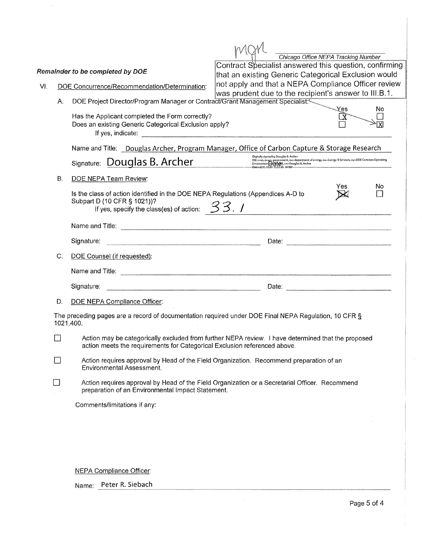|     |                                                                                                                                                                                                             |                                                                                                                                                                                                                                                | Chicago Office NEPA Tracking Number                                                                                                                                                                                                                                            |     |                      |  |  |  |
|-----|-------------------------------------------------------------------------------------------------------------------------------------------------------------------------------------------------------------|------------------------------------------------------------------------------------------------------------------------------------------------------------------------------------------------------------------------------------------------|--------------------------------------------------------------------------------------------------------------------------------------------------------------------------------------------------------------------------------------------------------------------------------|-----|----------------------|--|--|--|
|     |                                                                                                                                                                                                             | Remainder to be completed by DOE                                                                                                                                                                                                               | Contract Specialist answered this question, confirming<br>that an existing Generic Categorical Exclusion would                                                                                                                                                                 |     |                      |  |  |  |
|     |                                                                                                                                                                                                             |                                                                                                                                                                                                                                                | not apply and that a NEPA Compliance Officer review                                                                                                                                                                                                                            |     |                      |  |  |  |
| VI. |                                                                                                                                                                                                             | DOE Concurrence/Recommendation/Determination:                                                                                                                                                                                                  | was prudent due to the recipient's answer to III.B.1.                                                                                                                                                                                                                          |     |                      |  |  |  |
|     | Α.                                                                                                                                                                                                          | DOE Project Director/Program Manager or Contract/Grant Management Specialist:                                                                                                                                                                  |                                                                                                                                                                                                                                                                                |     |                      |  |  |  |
|     |                                                                                                                                                                                                             | Has the Applicant completed the Form correctly?<br>Does an existing Generic Categorical Exclusion apply?                                                                                                                                       |                                                                                                                                                                                                                                                                                | Yes | No                   |  |  |  |
|     |                                                                                                                                                                                                             | Name and Title: Douglas Archer, Program Manager, Office of Carbon Capture & Storage Research                                                                                                                                                   |                                                                                                                                                                                                                                                                                |     |                      |  |  |  |
|     |                                                                                                                                                                                                             | Signature: Douglas B. Archer                                                                                                                                                                                                                   | Digitally signed by Douglas B. Archer<br>ישראשי אישיר של אייט שישראי או לא בישראל או לא בייט של אייט בייט או לא בישראל או לא בישראל או לא בישראל או לא<br>Environment of <b>Data (Bd</b> e) to informate the customer of the customer of the customer of the customer of the c |     |                      |  |  |  |
|     | В.                                                                                                                                                                                                          | DOE NEPA Team Review:                                                                                                                                                                                                                          |                                                                                                                                                                                                                                                                                |     |                      |  |  |  |
|     |                                                                                                                                                                                                             | Is the class of action identified in the DOE NEPA Regulations (Appendices A-D to<br>Subpart D (10 CFR § 1021))?<br>If yes, specify the class(es) of action: $33.1$                                                                             |                                                                                                                                                                                                                                                                                | Yes | No<br>$\blacksquare$ |  |  |  |
|     |                                                                                                                                                                                                             | Name and Title: <u>December 2008</u>                                                                                                                                                                                                           |                                                                                                                                                                                                                                                                                |     |                      |  |  |  |
|     |                                                                                                                                                                                                             | Signature:                                                                                                                                                                                                                                     |                                                                                                                                                                                                                                                                                |     |                      |  |  |  |
|     | C.                                                                                                                                                                                                          | DOE Counsel (if requested):                                                                                                                                                                                                                    |                                                                                                                                                                                                                                                                                |     |                      |  |  |  |
|     |                                                                                                                                                                                                             |                                                                                                                                                                                                                                                |                                                                                                                                                                                                                                                                                |     |                      |  |  |  |
|     |                                                                                                                                                                                                             | a kara sa masang na kara sa mga masang na mga masang na may na may na may na may na may na may na may na may n<br>Ang isang na may na may nagang na may nagayang na may nagayang na may nagayang na may nagayang na may nagayang<br>Signature: |                                                                                                                                                                                                                                                                                |     |                      |  |  |  |
|     | D.                                                                                                                                                                                                          | <b>DOE NEPA Compliance Officer:</b>                                                                                                                                                                                                            |                                                                                                                                                                                                                                                                                |     |                      |  |  |  |
|     |                                                                                                                                                                                                             | The preceding pages are a record of documentation required under DOE Final NEPA Regulation, 10 CFR §<br>1021.400.                                                                                                                              |                                                                                                                                                                                                                                                                                |     |                      |  |  |  |
|     | Action may be categorically excluded from further NEPA review. I have determined that the proposed<br>$\overline{\phantom{0}}$<br>action meets the requirements for Categorical Exclusion referenced above. |                                                                                                                                                                                                                                                |                                                                                                                                                                                                                                                                                |     |                      |  |  |  |
|     |                                                                                                                                                                                                             | Action requires approval by Head of the Field Organization. Recommend preparation of an<br>Environmental Assessment.                                                                                                                           |                                                                                                                                                                                                                                                                                |     |                      |  |  |  |
|     |                                                                                                                                                                                                             | Action requires approval by Head of the Field Organization or a Secretarial Officer. Recommend<br>preparation of an Environmental Impact Statement.                                                                                            |                                                                                                                                                                                                                                                                                |     |                      |  |  |  |
|     |                                                                                                                                                                                                             | Comments/limitations if any:                                                                                                                                                                                                                   |                                                                                                                                                                                                                                                                                |     |                      |  |  |  |
|     |                                                                                                                                                                                                             |                                                                                                                                                                                                                                                |                                                                                                                                                                                                                                                                                |     |                      |  |  |  |
|     |                                                                                                                                                                                                             |                                                                                                                                                                                                                                                |                                                                                                                                                                                                                                                                                |     |                      |  |  |  |
|     |                                                                                                                                                                                                             |                                                                                                                                                                                                                                                |                                                                                                                                                                                                                                                                                |     |                      |  |  |  |
|     |                                                                                                                                                                                                             |                                                                                                                                                                                                                                                |                                                                                                                                                                                                                                                                                |     |                      |  |  |  |
|     |                                                                                                                                                                                                             |                                                                                                                                                                                                                                                |                                                                                                                                                                                                                                                                                |     |                      |  |  |  |
|     |                                                                                                                                                                                                             | <b>NEPA Compliance Officer:</b>                                                                                                                                                                                                                |                                                                                                                                                                                                                                                                                |     |                      |  |  |  |

 $\bar{z}$ 

Name: Peter R. Siebach

 $\bar{z}$